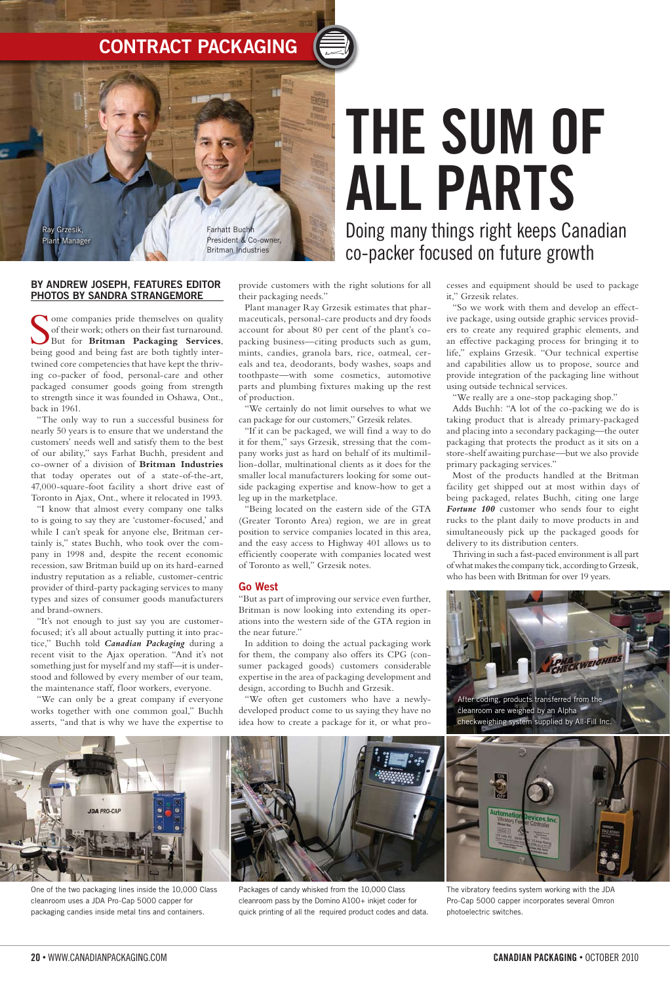### **BY ANDREW JOSEPH, FEATURES EDITOR PHOTOS BY SANDRA STRANGEMORE**

Some companies pride themselves on quality of their work; others on their fast turnaround.<br>But for **Britman Packaging Services**, being good and being fast are both tightly interome companies pride themselves on quality of their work; others on their fast turnaround. But for **Britman Packaging Services**, twined core competencies that have kept the thriving co-packer of food, personal-care and other packaged consumer goods going from strength to strength since it was founded in Oshawa, Ont., back in 1961.

"The only way to run a successful business for nearly 50 years is to ensure that we understand the customers' needs well and satisfy them to the best of our ability," says Farhat Buchh, president and co-owner of a division of **Britman Industries** that today operates out of a state-of-the-art, 47,000-square-foot facility a short drive east of Toronto in Ajax, Ont., where it relocated in 1993.

"I know that almost every company one talks to is going to say they are 'customer-focused,' and while I can't speak for anyone else, Britman certainly is," states Buchh, who took over the company in 1998 and, despite the recent economic recession, saw Britman build up on its hard-earned industry reputation as a reliable, customer-centric provider of third-party packaging services to many types and sizes of consumer goods manufacturers and brand-owners.

"It's not enough to just say you are customerfocused; it's all about actually putting it into practice," Buchh told *Canadian Packaging* during a recent visit to the Ajax operation. "And it's not something just for myself and my staff—it is understood and followed by every member of our team, the maintenance staff, floor workers, everyone.

"We can only be a great company if everyone works together with one common goal," Buchh asserts, "and that is why we have the expertise to

provide customers with the right solutions for all their packaging needs."

Plant manager Ray Grzesik estimates that pharmaceuticals, personal-care products and dry foods account for about 80 per cent of the plant's copacking business—citing products such as gum, mints, candies, granola bars, rice, oatmeal, cereals and tea, deodorants, body washes, soaps and toothpaste—with some cosmetics, automotive parts and plumbing fixtures making up the rest of production.

"We certainly do not limit ourselves to what we can package for our customers," Grzesik relates.

"If it can be packaged, we will find a way to do it for them," says Grzesik, stressing that the company works just as hard on behalf of its multimillion-dollar, multinational clients as it does for the smaller local manufacturers looking for some outside packaging expertise and know-how to get a leg up in the marketplace.

"Being located on the eastern side of the GTA (Greater Toronto Area) region, we are in great position to service companies located in this area, and the easy access to Highway 401 allows us to efficiently cooperate with companies located west of Toronto as well," Grzesik notes.

#### **Go West**

"But as part of improving our service even further, Britman is now looking into extending its operations into the western side of the GTA region in the near future."

In addition to doing the actual packaging work for them, the company also offers its CPG (consumer packaged goods) customers considerable expertise in the area of packaging development and design, according to Buchh and Grzesik.

"We often get customers who have a newlydeveloped product come to us saying they have no idea how to create a package for it, or what processes and equipment should be used to package it," Grzesik relates.

"So we work with them and develop an effective package, using outside graphic services providers to create any required graphic elements, and an effective packaging process for bringing it to life," explains Grzesik. "Our technical expertise and capabilities allow us to propose, source and provide integration of the packaging line without using outside technical services.

"We really are a one-stop packaging shop."

Adds Buchh: "A lot of the co-packing we do is taking product that is already primary-packaged and placing into a secondary packaging—the outer packaging that protects the product as it sits on a store-shelf awaiting purchase—but we also provide primary packaging services."

Most of the products handled at the Britman facility get shipped out at most within days of being packaged, relates Buchh, citing one large *Fortune 100* customer who sends four to eight rucks to the plant daily to move products in and simultaneously pick up the packaged goods for delivery to its distribution centers.

Thriving in such a fast-paced environment is all part of what makes the company tick, according to Grzesik, who has been with Britman for over 19 years.

# **THE SUM OF ALL PARTS** Doing many things right keeps Canadian co-packer focused on future growth

# **Contract Packaging**



Ray Grzesik, Plant Manager

Farhatt Buchh President & Co-owner, Britman Industries

One of the two packaging lines inside the 10,000 Class cleanroom uses a JDA Pro-Cap 5000 capper for packaging candies inside metal tins and containers.



Packages of candy whisked from the 10,000 Class cleanroom pass by the Domino A100+ inkjet coder for quick printing of all the required product codes and data. The vibratory feedins system working with the JDA Pro-Cap 5000 capper incorporates several Omron photoelectric switches.